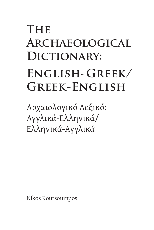## **The Archaeological**  DICTIONARY: **English-Greek/ Greek-English**

Αρχαιολογικό Λεξικό: Αγγλικά-Ελληνικά/ Ελληνικά-Αγγλικά

Nikos Koutsoumpos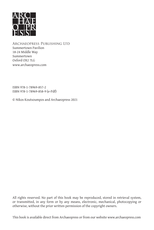

Archaeopress Publishing Ltd Summertown Pavilion 18-24 Middle Way Summertown Oxford OX2 7LG www.archaeopress.com

ISBN 978-1-78969-857-2 ISBN 978-1-78969-858-9 (e-Pdf)

© Nikos Koutsoumpos and Archaeopress 2021

All rights reserved. No part of this book may be reproduced, stored in retrieval system, or transmitted, in any form or by any means, electronic, mechanical, photocopying or otherwise, without the prior written permission of the copyright owners.

This book is available direct from Archaeopress or from our website www.archaeopress.com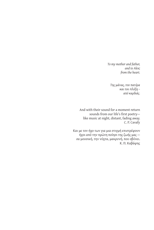*To my mother and father, and to Alex; from the heart.*

*Της μάνας, του πατέρα και του Αλέξη – από καρδιάς.*

And with their sound for a moment return sounds from our life's first poetry like music at night, distant, fading away. C. P. Cavafy

Και με τον ήχο των για μια στιγμή επιστρέφουν ήχοι από την πρώτη ποίησι της ζωής μας σα μουσική, την νύχτα, μακρυνή, που σβύνει. Κ. Π. Καβάφης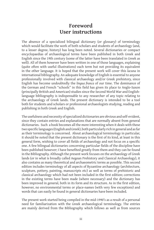## **Foreword User instructions**

The absence of a specialized bilingual dictionary (or glossary) of terminology which would facilitate the work of both scholars and students of archaeology (and, to a lesser degree, history) has long been noted. Several dictionaries or compact encyclopaedias of archaeological terms have been published in both Greek and English since the 19th century (some of the latter have been translated in Greek as well). All of them however have been written in one of those languages, explaining (quite often with useful illustrations) each term but not providing its equivalent in the other language. It is hoped that the present work will cover this *lacuna* in international bibliography. An adequate knowledge of English is essential to anyone professionally involved with classical archaeology and/or Greek prehistory, since English has become undoubtedly the *lingua franca* of our time. The dominance of the German and French "schools" in this field has given its place to Anglo-Saxon (principally British and American) studies since the Second World War and Englishlanguage bibliography is indispensable to any researcher of any topic relating to the archaeology of Greek lands. The present dictionary is intended to be a tool both for students and scholars or professional archaeologists studying, reading and publishing in both Greek and English.

The usefulness and necessity of specialized dictionaries are obvious and self-evident, since they contain entries and explanations that are normally absent from general dictionaries. Such a book becomes all the more interesting when it deals with these two specific languages (English and Greek), both particularly rich in general and as far as their terminology is concerned. About archaeological terminology in particular, it should be noted that the present dictionary is the first of its kind, at least in this general form, wishing to cover all fields of archaeology and not focus on a specific one. A few bilingual dictionaries concerning particular fields of the discipline have been published however; I have benefited greatly from them and they can be found in the Bibliography. Although the present work focuses on the archaeology of Greek lands (or in what is broadly called Aegean Prehistory and Classical Archaeology), it also contains as many theoretical and archaeometric terms as possible. This second edition includes terminology of all aspects of Byzantine archaeology (architecture, sculpture, pottery, painting, manuscripts etc) as well as terms of prehistoric and classical archaeology which had not been included in the first edition; corrections in the existing terms have been made (where necessary) and the dictionary has been improved in general, both in its form and its structure. As in the first edition, however, no environmental terms or place-names (with very few exceptions) and words that can easily be found in general dictionaries have been included.

The present work started being compiled in the mid-1990's as a result of a personal need for familiarization with the Greek archaeological terminology. The entries are mainly derived from the Bibliography which follows as well as from sources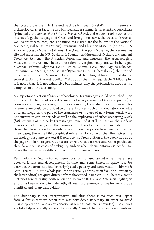that could prove useful to this end, such as bilingual (Greek-English) museum and archaeological sites tags, the also bilingual paper summaries in scientific periodicals (principally the *Annual of the British School at Athens*), and modern tools such as the Internet (e.g. the webpages of Greek and foreign museums, the website *Perseus* as well as other resources) etc. The museums visited are the following: the National Archaeological Museum (Athens), Byzantine and Christian Museum (Athens), P. & A. Kanellopoulos Museum (Athens), the (New) Acropolis Museum, the Kerameikos site and museum, the N.P. Goulandris Foundation-Museum of Cycladic and Ancient Greek Art (Athens), the Athenian Agora site and museum, the archaeological museums of Marathon, Thebes, Thessaloniki, Vergina, Nauplion, Corinth, Tegea, Mycenae, Isthmia, Olympia, Delphi, Volos, Chania, Herakleion, Aghios Nikolaos, Rethymnon and Siteia, the Museum of Byzantine Culture (Thessaloniki), the site and museum of Dion and Brauron. I also consulted the bilingual tags of the exhibits in several stations of the Metropolitan Railway at Athens. As regards the Bibliography, it is noted that it is not exhaustive but includes only the publications used for the compilation of the dictionary.

An important question of Greek archaeological terminology should be touched upon at this point. The use of several terms is not always consistent (or even precise) in translations of English books; thus they are usually translated in various ways. This phenomenon could be ascribed to different causes, such as inadequate knowledge of terminology on the part of the translator or the use of new terms which were not current in earlier periods as well as the application of either archaising Greek (*kathareuousa*) of the early terminology (much of it still in use) or the modern demotic Greek. In any case, the various alternatives for each term are listed, while those that have proved unseemly, wrong or inappropriate have been omitted. In a few cases, there are bibliographical references for some of the alternatives; the chronology in square brackets ([ ]) refers to the Greek edition of the book cited as do the page numbers. In general, citations or references are rare and rather particular; they do appear in cases of ambiguity and/or when documentation is needed for terms that are novel or different from the ones normally used.

Terminology in English has not been consistent or unchanged either; there have been variations and developments in time and, some times, in space too. For example, the terms applied for Early Cycladic pottery and stone vases in Thimme & Getz-Preziosi 1977 (the whole publication actually a translation from the German by the latter editor) are quite different from those used in Barber 1987. There is also the matter of generally slight differentiations between British and American English; an effort has been made to include both, although a preference for the former must be admitted and is, anyway, evident.

The dictionary is not interpretative and thus there is no such text (apart from a few exceptions when that was considered necessary, in order to avoid misinterpretations, and an explanation as brief as possible is provided). The entries are listed alphabetically and not thematically. Many of them also include subentries,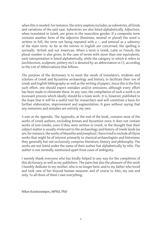when this is needed. For instance, the entry *amphora* includes, as subentries, all kinds and variations of the said vase. Subentries are also listed alphabetically. Adjectives, when translated in Greek, are given in the masculine gender. If a composite term contains another form of the adjective (feminine, neutral or plural) the word is written in full, the term not being repeated with a  $\sim$ , and entered as a subentry of the main term. As far as the entries in English are concerned, the spelling is normally British and not American. When a term is Greek, Latin or French, the plural number is also given. In the case of terms with more than one equivalents, each interpretation is listed alphabetically, while the category in which it refers to (architecture, sculpture, pottery etc) is denoted by an abbreviation in { }, according to the List of Abbreviations that follows.

The purpose of the dictionary is to meet the needs of translators, students and scholars of Greek and Byzantine archaeology and history, to facilitate their use of Greek and English bibliography as well as the writing of papers. Since this is the first such effort, one should expect mistakes and/or omissions, although every effort has been made to eliminate these. In any case, the compilation of such a work is an incessant process which ideally should be a team work. It is, however, published in the hope that it will be a useful tool for researchers and will constitute a basis for further elaboration, improvement and augmentation. It goes without saying that any omissions and mistakes are entirely my own.

*A note on the Appendix*. The Appendix, at the end of the book, contains most of the works of Greek authors, excluding Roman and Byzantine ones; it does not contain works of non-Greeks, even if they were written in Greek, in the thought that their subject matter is usually irrelevant to the archaeology and history of Greek lands (as are, for instance, the works of Manetho and Josephus). I have tried to include all those works that might be of interest primarily to classical archaeologists and historians; they generally but not exclusively comprise literature, history and philosophy. The works are not listed under the name of their author but alphabetically by title. The author is not normally mentioned apart from cases of ambiguity.

I warmly thank everyone who has kindly helped in any way for the completion of this dictionary, as well as my publishers. The pains but also the pleasure of this work I humbly dedicate to my mother, who is no longer here, and to my father who loved and took care of her beyond human measure; and of course to Alex, my one and only. To all three of them I owe everything.

Nikos Koutsoumpos, MPhil, PhD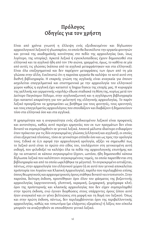## **Πρόλογος Οδηγίες για τον χρήστη**

Είναι από χρόνια γνωστή η έλλειψη ενός εξειδικευμένου και δίγλωσσου αρχαιολογικού λεξικού ή γλωσσαρίου, το οποίο θα διευκόλυνε την εργασία φοιτητών και γενικά της ακαδημαϊκής κοινότητας στο πεδίο της αρχαιολογίας (και, ίσως λιγότερο, της ιστορίας). Αρκετά λεξικά ή εγκυκλοπαίδειες έχουν δημοσιευθεί στα ελληνικά και τα αγγλικά ήδη από τον 19ο αιώνα, γραμμένα, όμως, το καθένα σε μία από αυτές τις γλώσσες (κάποια από τα αγγλικά μεταφράστηκαν και στα ελληνικά). Είναι όλα επεξηγηματικά και δεν παρέχουν μεταφράσεις των όρων από τη μία γλώσσα στην άλλη. Ευελπιστώ ότι η παρούσα εργασία θα καλύψει το κενό αυτό στη διεθνή βιβλιογραφία. Η επαρκής γνώση της αγγλικής είναι αναγκαία για όποιον ασχολείται επαγγελματικά και επιστημονικά με την αρχαιολογία του ελληνικού χώρου καθώς η αγγλική έχει καταστεί η lingua franca της εποχής μας. Η κυριαρχία της γαλλικής και γερμανικής «σχολής» έδωσε σταδιακά τη θέση της, κυρίως μετά τον Δεύτερο Παγκόσμιο Πόλεμο, στην αγγλοσαξωνική και η αγγλόφωνη βιβλιογραφία έχει καταστεί απαραίτητη για τον μελετητή της ελληνικής αρχαιολογίας. Το παρόν λεξικό προορίζεται να χρησιμεύσει ως βοήθημα για τους φοιτητές, τους ερευνητές και τους επαγγελματίες αρχαιολόγους που σπουδάζουν και διαβάζουν ή δημοσιεύουν τόσο στα ελληνικά όσο και στα αγγλικά.

Η χρησιμότητα και η αναγκαιότητα ενός εξειδικευμένου λεξικού είναι προφανείς και αυτονόητες, καθώς αυτό περιέχει ερμηνείες που εκ των πραγμάτων δεν είναι δυνατό να συμπεριληφθούν σε γενικά λεξικά. Αποκτά μάλιστα ιδιαίτερο ενδιαφέρον όταν πρόκειται για τις δύο συγκεκριμένες γλώσσες (ελληνική και αγγλική), οι οποίες είναι εξαιρετικά πλούσιες, τόσο σε γενικότερο επίπεδο όσο και ως προς την ορολογία τους. Ειδικά σε ό,τι αφορά την αρχαιολογική ορολογία, αξίζει να σημειωθεί πως το λεξικό αυτό είναι το πρώτο στο είδος του, τουλάχιστον στη γενικευμένη αυτή εκδοχή, που φιλοδοξεί να καλύψει όλα τα πεδία της αρχαιολογικής επιστήμης και όχι να εστιαστεί σε κάποιο συγκεκριμένο (έχουν, ωστόσο, ήδη δημοσιευθεί κάποια δίγλωσσα λεξικά που καλύπτουν συγκεκριμένους τομείς, τα οποία παρατίθενται στη βιβλιογραφία και από τα οποία ωφελήθηκα τα μέγιστα). Το συγκεκριμένο εστιάζεται, πάντως, στην αρχαιολογία του ελληνικού χώρου (ή σε αυτό που γενικά αποκαλείται προϊστορία του Αιγαίου και Κλασική Αρχαιολογία), παρόλο που περιλαμβάνει επίσης όσους θεωρητικούς και αρχαιομετρικούς όρους στάθηκε δυνατό να εντοπιστούν. Στην παρούσα, δεύτερη έκδοση, προστέθηκαν όροι όλου του φάσματος της βυζαντινής αρχαιολογίας (αρχιτεκτονική, γλυπτική, κεραμική, ζωγραφική, χειρόγραφα κλπ), όροι της προϊστορικής και κλασικής αρχαιολογίας που δεν είχαν συμπεριληφθεί στην πρώτη έκδοση, ενώ έγιναν διορθώσεις στους υπάρχοντες όρους (όπου αυτό ήταν αναγκαίο) και εν γένει βελτιώσεις στη μορφή και τη δομή του λεξικού. Όπως και στην πρώτη έκδοση, πάντως, δεν περιλαμβάνονται όροι της περιβαλλοντικής αρχαιολογίας, καθώς και τοπωνύμια (με ελάχιστες εξαιρέσεις) ή λέξεις που εύκολα μπορούν να αναζητηθούν σε οποιοδήποτε γενικό λεξικό.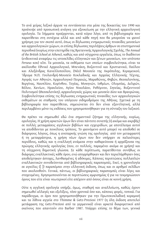Το ανά χείρας λεξικό άρχισε να συντάσσεται στα μέσα της δεκαετίας του 1990 και προέκυψε από προσωπική ανάγκη για εξοικείωση με την ελληνική αρχαιολογική ορολογία. Τα λήμματα προέρχονται, κατά κύριο λόγο, από τη βιβλιογραφία που παρατίθεται στη συνέχεια αλλά και από κάθε πηγή που θα μπορούσε να φανεί χρήσιμη για τον σκοπό αυτό, όπως οι δίγλωσσες ενημερωτικές πινακίδες μουσείων και αρχαιολογικών χώρων, οι επίσης δίγλωσσες περιλήψεις άρθρων σε επιστημονικά περιοδικά (κυρίως στην επετηρίδα της Βρετανικής Αρχαιολογικής Σχολής, *The Annual of the British School at Athens*), καθώς και από σύγχρονα εργαλεία, όπως το διαδίκτυο (ενδεικτικά αναφέρω τις ιστοσελίδες ελληνικών και ξένων μουσείων, τον ιστότοπο *Perseus* κοκ) κλπ. Τα μουσεία, τα εκθέματα των οποίων συμβουλεύτηκα, είναι τα ακόλουθα: Εθνικό Αρχαιολογικό, Μπενάκη, Βυζαντινό και Χριστιανικό, Παύλου και Αλεξάνδρας Κανελλοπούλου, (Νέο) Μουσείο της Ακρόπολης, Κεραμεικού, Ίδρυμα Ν.Π. Γουλανδρή-Μουσείο Κυκλαδικής και Αρχαίας Ελληνικής Τέχνης, Αγοράς των Αθηνών, Αρχαιολογικό Πειραιώς, Μαραθώνος, Θηβών, Θεσσαλονίκης, Βεργίνας, Ναυπλίου, Κορίνθου, Τεγέας, Μυκηνών, Ισθμίων, Ολυμπίας, Δελφών, Βόλου, Χανίων, Ηρακλείου, Αγίου Νικολάου, Ρεθύμνου, Σητείας, Βυζαντινού Πολιτισμού (Θεσσαλονίκη), αρχαιολογικός χώρος και μουσείο Δίου και Βραυρώνας. Συμβουλεύτηκα επίσης τις δίγλωσσες ενημερωτικές πινακίδες των αρχαιολογικών εκθεμάτων σε σταθμούς του υπόγειου σιδηροδρόμου της Αθήνας. Σχετικά με τη βιβλιογραφία που παρατίθεται, σημειώνεται ότι δεν είναι εξαντλητική, αλλά περιλαμβάνει μόνο τις εκδόσεις που χρησιμοποιήθηκαν για τη σύνταξη του λεξικού.

Θα πρέπει να σημειωθεί εδώ ένα σημαντικό ζήτημα της ελληνικής, κυρίως, ορολογίας. Η χρήση αρκετών όρων δεν είναι πάντοτε συνεπής (ή ακόμα και ακριβής) σε πολλές μεταφράσεις αγγλικών βιβλίων και εγχειριδίων, με αποτέλεσμα αυτοί να αποδίδονται με ποικίλους τρόπους. Το φαινόμενο αυτό μπορεί να αποδοθεί σε διάφορους λόγους, όπως η ανεπαρκής γνώση της ορολογίας από τον μεταφραστή ή τη μεταφράστρια, η χρήση νέων όρων που δεν υπήρχαν σε παλαιότερες περιόδους, καθώς και η εναλλαγή ανάμεσα στην καθαρεύουσα ή αρχαΐζουσα της πρώιμης ελληνικής ορολογίας (που, εν πολλοίς, παραμένει ακόμα σε χρήση) και τη σύγχρονη δημοτική γλώσσα. Σε κάθε περίπτωση, παρατίθενται συνήθως οι διάφορες εναλλακτικές κάθε όρου, ενώ απορρίφθηκαν και δεν περιελήφθησαν όσες αποδείχτηκαν άστοχες, λανθασμένες ή αδόκιμες. Κάποιες περιπτώσεις πολλαπλών εναλλακτικών συνοδεύονται από βιβλιογραφικές παραπομπές. Εκεί, η χρονολογία σε αγκύλες ([ ]) παραπέμπει στην ελληνική έκδοση, όπως και οι αριθμοί σελίδων που ακολουθούν. Γενικά, πάντως, οι βιβλιογραφικές παραπομπές είναι λίγες και στοχευμένες. Χρησιμοποιούνται σε περιπτώσεις αμφισημίας ή για να τεκμηριώσουν όρους που είτε είναι νεωτερικοί είτε απέχουν από όσους είναι σε κοινή χρήση.

Ούτε η αγγλική ορολογία υπήρξε, όμως, σταθερή και αναλλοίωτη, καθώς έχουν σημειωθεί αλλαγές και εξελίξεις, τόσο χρονικά όσο και, κάποιες φορές, τοπικά. Για παράδειγμα, οι όροι που χρησιμοποιήθηκαν για την Πρωτοκυκλαδική κεραμική και τα λίθινα αγγεία στο Thimme & Getz-Preziosi 1977 (η όλη έκδοση αποτελεί μετάφραση της Getz-Preziosi από τα γερμανικά) είναι αρκετά διαφορετικοί από εκείνους που απαντούν στο Barber 1987. Υπάρχει επίσης το θέμα των, γενικά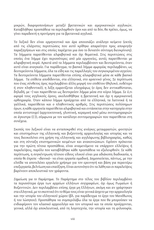μικρών, διαφοροποιήσεων μεταξύ βρετανικών και αμερικανικών αγγλικών. Καταβλήθηκε προσπάθεια να περιληφθούν όροι και από τα δύο, θα πρέπει, όμως, να γίνει παραδεκτή η προτίμηση για τα βρετανικά αγγλικά.

Το λεξικό δεν είναι ερμηνευτικό και άρα απουσιάζει ανάλογο κείμενο (εκτός από τις ελάχιστες περιπτώσεις που αυτό κρίθηκε απαραίτητο προς αποφυγήν παραξηγήσεων και στις οποίες παρέχεται μια όσο το δυνατόν σύντομη διευκρίνιση). Τα λήμματα παρατίθενται αλφαβητικά και όχι θεματικά. Στις περιπτώσεις στις οποίες ένα λήμμα έχει περισσότερες από μία ερμηνείες, αυτές παρατίθενται με αλφαβητική σειρά. Αρκετά από τα λήμματα περιλαμβάνουν και δευτερεύοντα, όταν αυτό είναι αναγκαίο. Για παράδειγμα, το βασικό λήμμα *αμφορέας* περιλαμβάνει, ως δευτερεύοντα λήμματα, όλα τα είδη και τις παραλλαγές του συγκεκριμένου αγγείου. Τα δευτερεύοντα λήμματα παρατίθενται επίσης αλαφαβητικά μέσα σε κάθε βασικό λήμμα. Τα επίθετα αποδίδονται, στα ελληνικά, στο αρσενικό γένος. Σε περίπτωση που ένας σύνθετος όρος περιλαμβάνει άλλη μορφή του επιθέτου (θηλυκό, ουδέτερο ή στον πληθυντικό), η λέξη εμφανίζεται ολογράφως (ο όρος δεν αντικαθίσταται, δηλαδή, με ~) και παρατίθεται ως δευτερεύον λήμμα μέσα στο κύριο λήμμα. Σε ό,τι αφορά τους αγγλικούς όρους, ακολουθήθηκε η βρετανική και όχι η αμερικανική ορθογραφία. Όταν κάποιο λήμμα προέρχεται από τα ελληνικά, τα λατινικά ή τα γαλλικά, παρατίθεται και ο πληθυντικός αριθμός. Στις περιπτώσεις πολύσημων όρων, η κάθε ερμηνεία παρατίθεται αλφαβητικά και εντάσσεται στην κατηγορία στην οποία αντιστοιχεί (αρχιτεκτονική, γλυπτική, κεραμική κοκ) μέσω συντομογραφιών σε άγκιστρα ({ }), σύμφωνα με τον κατάλογο συντομογραφιών που παρατίθεται στη συνέχεια.

Σκοπός του λεξικού είναι να ανταποκριθεί στις ανάγκες μεταφραστών, φοιτητών και επιστημόνων της ελληνικής και βυζαντινής αρχαιολογίας και ιστορίας και να τους διευκολύνει στη χρήση της ελληνικής και αγγλόφωνης βιβλιογραφίας, καθώς και στη σύνταξη επιστημονικών κειμένων και ανακοινώσεων. Εφόσον πρόκειται για την πρώτη τέτοια προσπάθεια, είναι αναμενόμενο να υπάρχουν ελλείψεις ή παραλείψεις, παρόλο που καταβλήθηκε κάθε προσπάθεια να εξαλειφθούν. Σε κάθε περίπτωση, η συγκέντρωση τέτοιου είδους υλικού είναι μια αδιάκοπη διαδικασία, η οποία θε έπρεπε –ιδανικά– να είναι εργασία ομαδική. Δημοσιεύεται, πάντως, με την ελπίδα να αποτελέσει εργαλείο χρήσιμο για τον ερευνητή και βάση για περαιτέρω επεξεργασία, βελτίωση και επαύξηση. Είναι αυτονόητο ότι τα λάθη και οι παραλείψεις βαρύνουν αποκλειστικά τον γράφοντα.

*Σημείωση για το Παράρτημα*. Το Παράρτημα στο τέλος του βιβλίου περιλαμβάνει τα περισσότερα έργα των αρχαίων ελλήνων συγγραφέων, όχι όμως Ρωμαίων ή Βυζαντινών. Δεν περιλαμβάνει επίσης έργα μη Ελλήνων, ακόμη και αν γράφτηκαν στα ελληνικά, με το σκεπτικό ότι το θέμα τους είναι γενικά άσχετο με την αρχαιολογία και την ιστορία του ελληνικού χώρου (βλ. για παράδειγμα το έργο του Μανέθωνος ή του Ιώσηπου). Προσπάθησα να συμπεριλάβω όλα τα έργα που θα μπορούσαν να ενδιαφέρουν τον κλασικό αρχαιολόγο και τον ιστορικό και τα οποία προέρχονται, γενικά, αλλά όχι αποκλειστικά, από τη λογοτεχνία, την ιστορία και τη φιλοσοφία.